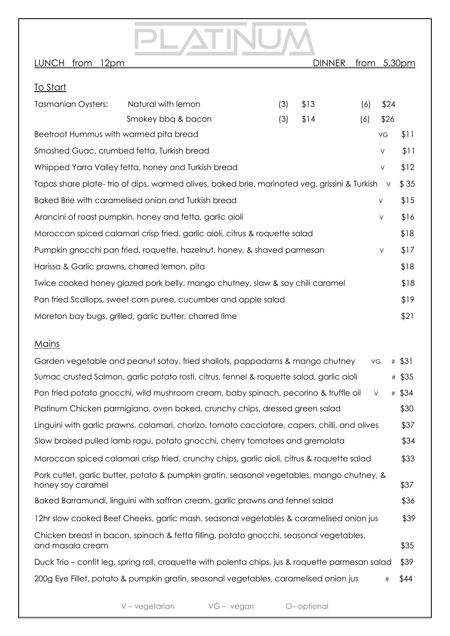## LUNCH from 12pm **DINNER** from 5.30pm To Start Tasmanian Oysters: Natural with lemon (3) \$13 (6) \$24 Smokey bbq & bacon (3) \$14 (6) \$26 Beetroot Hummus with warmed pita bread variables with warm of pital bread variables with warm of  $\frac{11}{2}$ Smashed Guac, crumbed fetta, Turkish bread V  $\sim$  \$11 Whipped Yarra Valley fetta, honey and Turkish bread  $V = $12$ Tapas share plate- trio of dips, warmed olives, baked brie, marinated veg, grissini & Turkish  $\vee$  \$35 Baked Brie with caramelised onion and Turkish bread New York 315 Arancini of roast pumpkin, honey and fetta, garlic aioli v  $\sqrt{316}$ Moroccan spiced calamari crisp fried, garlic aioli, citrus & roquette salad \$18 Pumpkin gnocchi pan fried, roquette, hazelnut, honey, & shaved parmesan  $V = \frac{17}{10}$ Harissa & Garlic prawns, charred lemon, pita  $$18$ Twice cooked honey glazed pork belly, mango chutney, slaw & soy chili caramel \$18 Pan fried Scallops, sweet corn puree, cucumber and apple salad \$19 Moreton bay bugs, grilled, garlic butter, charred lime  $$21$

## Mains

| Garden vegetable and peanut satay, fried shallots, pappadams & mango chutney<br>VG                              | # \$31 |
|-----------------------------------------------------------------------------------------------------------------|--------|
| Sumac crusted Salmon, garlic potato rosti, citrus, fennel & roquette salad, garlic aioli                        | # \$35 |
| Pan fried potato gnocchi, wild mushroom cream, baby spinach, pecorino & truffle oil<br>$\vee$                   | # \$34 |
| Platinum Chicken parmigiana, oven baked, crunchy chips, dressed green salad                                     | \$30   |
| Linguini with garlic prawns, calamari, chorizo, tomato cacciatore, capers, chilli, and olives                   | \$37   |
| Slow braised pulled lamb ragu, potato gnocchi, cherry tomatoes and gremolata                                    | \$34   |
| Moroccan spiced calamari crisp fried, crunchy chips, garlic aioli, citrus & roquette salad                      | \$33   |
| Pork cutlet, garlic butter, potato & pumpkin gratin, seasonal vegetables, mango chutney, &<br>honey soy caramel | \$37   |
| Baked Barramundi, linguini with saffron cream, garlic prawns and fennel salad                                   | \$36   |
| 12hr slow cooked Beef Cheeks, garlic mash, seasonal vegetables & caramelised onion jus                          | \$39   |
| Chicken breast in bacon, spinach & fetta filling, potato gnocchi, seasonal vegetables,<br>and masala cream      | \$35   |
| Duck Trio – confit leg, spring roll, croquette with polenta chips, jus & roquette parmesan salad                | \$39   |
| 200g Eye Fillet, potato & pumpkin gratin, seasonal vegetables, caramelised onion jus<br>#                       | \$44   |

V-vegetarian VG-vegan O-optional